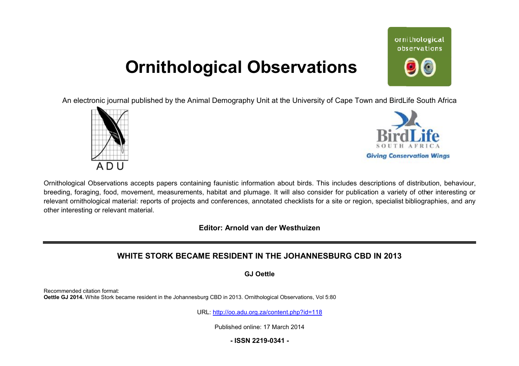## **Ornithological Observations**

ornithological observations

An electronic journal published by the Animal Demography Unit at the University of Cape Town and BirdLife South Africa





Ornithological Observations accepts papers containing faunistic information about birds. This includes descriptions of distribution, behaviour, breeding, foraging, food, movement, measurements, habitat and plumage. It will also consider for publication a variety of other interesting or breeding, foraging, food, movement, measurements, habitat and plumage. It will also consider for publication a variety of other interesting or<br>relevant ornithological material: reports of projects and conferences, annotate other interesting or relevant material.

**Editor: Arnold van der Westhuizen** 

## **WHITE STORK BECAME BECAME RESIDENT IN THE JOHANNESBURG CBD IN 2013**

**GJ Oettle** 

Recommended citation format: **Oettle GJ 2014.** White Stork became resident in the Johannesburg CBD in 2013. Ornithological Observations, Vol 5:80

URL: <http://oo.adu.org.za/content.php?id=118>

Published online: 17 March 2014

**- ISSN 2219-0341 -**